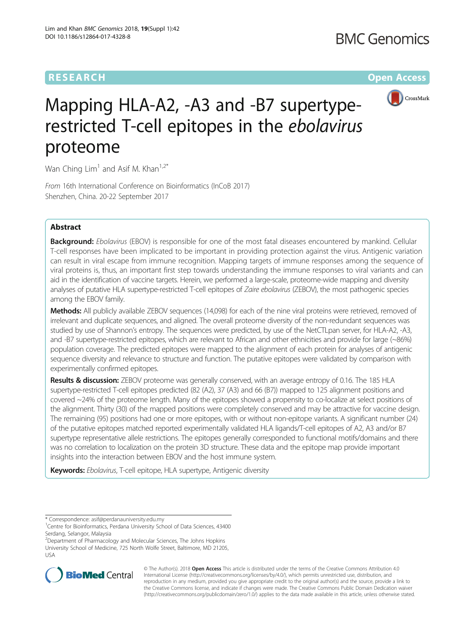## **RESEARCH CHE Open Access**



# Mapping HLA-A2, -A3 and -B7 supertyperestricted T-cell epitopes in the ebolavirus proteome

Wan Ching  $Lim<sup>1</sup>$  and Asif M. Khan<sup>1,2\*</sup>

From 16th International Conference on Bioinformatics (InCoB 2017) Shenzhen, China. 20-22 September 2017

## Abstract

Background: Ebolavirus (EBOV) is responsible for one of the most fatal diseases encountered by mankind. Cellular T-cell responses have been implicated to be important in providing protection against the virus. Antigenic variation can result in viral escape from immune recognition. Mapping targets of immune responses among the sequence of viral proteins is, thus, an important first step towards understanding the immune responses to viral variants and can aid in the identification of vaccine targets. Herein, we performed a large-scale, proteome-wide mapping and diversity analyses of putative HLA supertype-restricted T-cell epitopes of Zaire ebolavirus (ZEBOV), the most pathogenic species among the EBOV family.

Methods: All publicly available ZEBOV sequences (14,098) for each of the nine viral proteins were retrieved, removed of irrelevant and duplicate sequences, and aligned. The overall proteome diversity of the non-redundant sequences was studied by use of Shannon's entropy. The sequences were predicted, by use of the NetCTLpan server, for HLA-A2, -A3, and -B7 supertype-restricted epitopes, which are relevant to African and other ethnicities and provide for large (~86%) population coverage. The predicted epitopes were mapped to the alignment of each protein for analyses of antigenic sequence diversity and relevance to structure and function. The putative epitopes were validated by comparison with experimentally confirmed epitopes.

Results & discussion: ZEBOV proteome was generally conserved, with an average entropy of 0.16. The 185 HLA supertype-restricted T-cell epitopes predicted (82 (A2), 37 (A3) and 66 (B7)) mapped to 125 alignment positions and covered ~24% of the proteome length. Many of the epitopes showed a propensity to co-localize at select positions of the alignment. Thirty (30) of the mapped positions were completely conserved and may be attractive for vaccine design. The remaining (95) positions had one or more epitopes, with or without non-epitope variants. A significant number (24) of the putative epitopes matched reported experimentally validated HLA ligands/T-cell epitopes of A2, A3 and/or B7 supertype representative allele restrictions. The epitopes generally corresponded to functional motifs/domains and there was no correlation to localization on the protein 3D structure. These data and the epitope map provide important insights into the interaction between EBOV and the host immune system.

Keywords: Ebolavirus, T-cell epitope, HLA supertype, Antigenic diversity

2 Department of Pharmacology and Molecular Sciences, The Johns Hopkins University School of Medicine, 725 North Wolfe Street, Baltimore, MD 21205, USA



© The Author(s). 2018 Open Access This article is distributed under the terms of the Creative Commons Attribution 4.0 International License [\(http://creativecommons.org/licenses/by/4.0/](http://creativecommons.org/licenses/by/4.0/)), which permits unrestricted use, distribution, and reproduction in any medium, provided you give appropriate credit to the original author(s) and the source, provide a link to the Creative Commons license, and indicate if changes were made. The Creative Commons Public Domain Dedication waiver [\(http://creativecommons.org/publicdomain/zero/1.0/](http://creativecommons.org/publicdomain/zero/1.0/)) applies to the data made available in this article, unless otherwise stated.

<sup>\*</sup> Correspondence: [asif@perdanauniversity.edu.my](mailto:asif@perdanauniversity.edu.my) <sup>1</sup>

<sup>&</sup>lt;sup>1</sup> Centre for Bioinformatics, Perdana University School of Data Sciences, 43400 Serdang, Selangor, Malaysia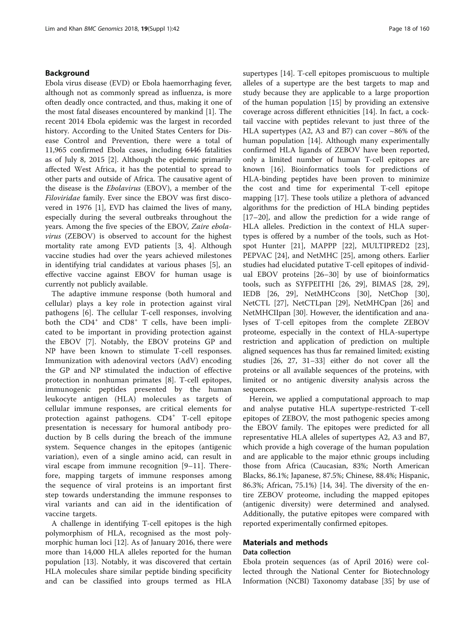## Background

Ebola virus disease (EVD) or Ebola haemorrhaging fever, although not as commonly spread as influenza, is more often deadly once contracted, and thus, making it one of the most fatal diseases encountered by mankind [\[1\]](#page-11-0). The recent 2014 Ebola epidemic was the largest in recorded history. According to the United States Centers for Disease Control and Prevention, there were a total of 11,965 confirmed Ebola cases, including 6446 fatalities as of July 8, 2015 [[2](#page-11-0)]. Although the epidemic primarily affected West Africa, it has the potential to spread to other parts and outside of Africa. The causative agent of the disease is the Ebolavirus (EBOV), a member of the Filoviridae family. Ever since the EBOV was first discovered in 1976 [\[1](#page-11-0)], EVD has claimed the lives of many, especially during the several outbreaks throughout the years. Among the five species of the EBOV, Zaire ebolavirus (ZEBOV) is observed to account for the highest mortality rate among EVD patients [[3, 4\]](#page-11-0). Although vaccine studies had over the years achieved milestones in identifying trial candidates at various phases [[5\]](#page-11-0), an effective vaccine against EBOV for human usage is currently not publicly available.

The adaptive immune response (both humoral and cellular) plays a key role in protection against viral pathogens [[6\]](#page-11-0). The cellular T-cell responses, involving both the CD4<sup>+</sup> and CD8<sup>+</sup> T cells, have been implicated to be important in providing protection against the EBOV [\[7](#page-11-0)]. Notably, the EBOV proteins GP and NP have been known to stimulate T-cell responses. Immunization with adenoviral vectors (AdV) encoding the GP and NP stimulated the induction of effective protection in nonhuman primates [\[8](#page-11-0)]. T-cell epitopes, immunogenic peptides presented by the human leukocyte antigen (HLA) molecules as targets of cellular immune responses, are critical elements for protection against pathogens. CD4<sup>+</sup> T-cell epitope presentation is necessary for humoral antibody production by B cells during the breach of the immune system. Sequence changes in the epitopes (antigenic variation), even of a single amino acid, can result in viral escape from immune recognition [[9](#page-11-0)–[11](#page-11-0)]. Therefore, mapping targets of immune responses among the sequence of viral proteins is an important first step towards understanding the immune responses to viral variants and can aid in the identification of vaccine targets.

A challenge in identifying T-cell epitopes is the high polymorphism of HLA, recognised as the most polymorphic human loci [\[12](#page-11-0)]. As of January 2016, there were more than 14,000 HLA alleles reported for the human population [\[13\]](#page-11-0). Notably, it was discovered that certain HLA molecules share similar peptide binding specificity and can be classified into groups termed as HLA supertypes [[14](#page-11-0)]. T-cell epitopes promiscuous to multiple alleles of a supertype are the best targets to map and study because they are applicable to a large proportion of the human population [[15](#page-11-0)] by providing an extensive coverage across different ethnicities [\[14\]](#page-11-0). In fact, a cocktail vaccine with peptides relevant to just three of the HLA supertypes (A2, A3 and B7) can cover  $\sim86\%$  of the human population [\[14](#page-11-0)]. Although many experimentally confirmed HLA ligands of ZEBOV have been reported, only a limited number of human T-cell epitopes are known [[16\]](#page-11-0). Bioinformatics tools for predictions of HLA-binding peptides have been proven to minimize the cost and time for experimental T-cell epitope mapping [[17\]](#page-11-0). These tools utilize a plethora of advanced algorithms for the prediction of HLA binding peptides [[17](#page-11-0)–[20](#page-11-0)], and allow the prediction for a wide range of HLA alleles. Prediction in the context of HLA supertypes is offered by a number of the tools, such as Hotspot Hunter [[21\]](#page-11-0), MAPPP [\[22\]](#page-11-0), MULTIPRED2 [\[23](#page-11-0)], PEPVAC [[24\]](#page-11-0), and NetMHC [\[25](#page-11-0)], among others. Earlier studies had elucidated putative T-cell epitopes of individual EBOV proteins [[26](#page-11-0)–[30](#page-11-0)] by use of bioinformatics tools, such as SYFPEITHI [[26, 29](#page-11-0)], BIMAS [[28, 29](#page-11-0)], IEDB [\[26](#page-11-0), [29](#page-11-0)], NetMHCcons [[30\]](#page-11-0), NetChop [\[30](#page-11-0)], NetCTL [[27\]](#page-11-0), NetCTLpan [[29\]](#page-11-0), NetMHCpan [[26](#page-11-0)] and NetMHCIIpan [[30\]](#page-11-0). However, the identification and analyses of T-cell epitopes from the complete ZEBOV proteome, especially in the context of HLA-supertype restriction and application of prediction on multiple aligned sequences has thus far remained limited; existing studies [[26](#page-11-0), [27, 31](#page-11-0)–[33\]](#page-11-0) either do not cover all the proteins or all available sequences of the proteins, with limited or no antigenic diversity analysis across the sequences.

Herein, we applied a computational approach to map and analyse putative HLA supertype-restricted T-cell epitopes of ZEBOV, the most pathogenic species among the EBOV family. The epitopes were predicted for all representative HLA alleles of supertypes A2, A3 and B7, which provide a high coverage of the human population and are applicable to the major ethnic groups including those from Africa (Caucasian, 83%; North American Blacks, 86.1%; Japanese, 87.5%; Chinese, 88.4%; Hispanic, 86.3%; African, 75.1%) [\[14](#page-11-0), [34\]](#page-11-0). The diversity of the entire ZEBOV proteome, including the mapped epitopes (antigenic diversity) were determined and analysed. Additionally, the putative epitopes were compared with reported experimentally confirmed epitopes.

## Materials and methods

## Data collection

Ebola protein sequences (as of April 2016) were collected through the National Center for Biotechnology Information (NCBI) Taxonomy database [[35\]](#page-11-0) by use of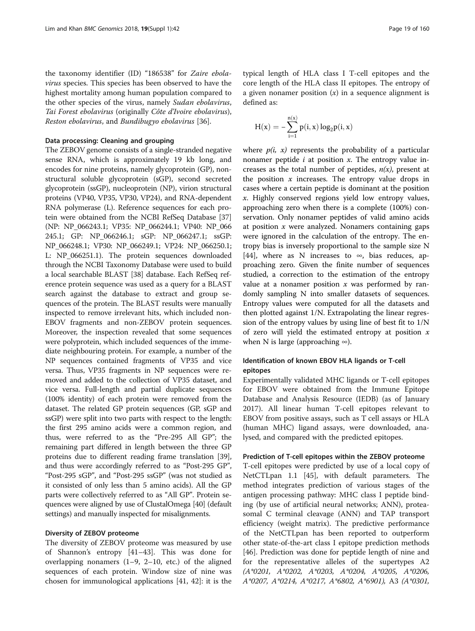the taxonomy identifier (ID) "186538" for Zaire ebolavirus species. This species has been observed to have the highest mortality among human population compared to the other species of the virus, namely Sudan ebolavirus, Tai Forest ebolavirus (originally Côte d'Ivoire ebolavirus), Reston ebolavirus, and Bundibugyo ebolavirus [[36\]](#page-11-0).

#### Data processing: Cleaning and grouping

The ZEBOV genome consists of a single-stranded negative sense RNA, which is approximately 19 kb long, and encodes for nine proteins, namely glycoprotein (GP), nonstructural soluble glycoprotein (sGP), second secreted glycoprotein (ssGP), nucleoprotein (NP), virion structural proteins (VP40, VP35, VP30, VP24), and RNA-dependent RNA polymerase (L). Reference sequences for each protein were obtained from the NCBI RefSeq Database [[37](#page-11-0)] (NP: NP\_066243.1; VP35: NP\_066244.1; VP40: NP\_066 245.1; GP: NP\_066246.1; sGP: NP\_066247.1; ssGP: NP\_066248.1; VP30: NP\_066249.1; VP24: NP\_066250.1; L: NP\_066251.1). The protein sequences downloaded through the NCBI Taxonomy Database were used to build a local searchable BLAST [\[38\]](#page-11-0) database. Each RefSeq reference protein sequence was used as a query for a BLAST search against the database to extract and group sequences of the protein. The BLAST results were manually inspected to remove irrelevant hits, which included non-EBOV fragments and non-ZEBOV protein sequences. Moreover, the inspection revealed that some sequences were polyprotein, which included sequences of the immediate neighbouring protein. For example, a number of the NP sequences contained fragments of VP35 and vice versa. Thus, VP35 fragments in NP sequences were removed and added to the collection of VP35 dataset, and vice versa. Full-length and partial duplicate sequences (100% identity) of each protein were removed from the dataset. The related GP protein sequences (GP, sGP and ssGP) were split into two parts with respect to the length: the first 295 amino acids were a common region, and thus, were referred to as the "Pre-295 All GP"; the remaining part differed in length between the three GP proteins due to different reading frame translation [[39](#page-11-0)], and thus were accordingly referred to as "Post-295 GP", "Post-295 sGP", and "Post-295 ssGP" (was not studied as it consisted of only less than 5 amino acids). All the GP parts were collectively referred to as "All GP". Protein sequences were aligned by use of ClustalOmega [[40](#page-11-0)] (default settings) and manually inspected for misalignments.

#### Diversity of ZEBOV proteome

The diversity of ZEBOV proteome was measured by use of Shannon's entropy [[41](#page-12-0)–[43](#page-12-0)]. This was done for overlapping nonamers  $(1-9, 2-10, \text{ etc.})$  of the aligned sequences of each protein. Window size of nine was chosen for immunological applications [\[41, 42\]](#page-12-0): it is the

typical length of HLA class I T-cell epitopes and the core length of the HLA class II epitopes. The entropy of a given nonamer position  $(x)$  in a sequence alignment is defined as:

$$
H(x) = -\sum_{i=1}^{n(x)} p(i, x) \log_2 p(i, x)
$$

where  $p(i, x)$  represents the probability of a particular nonamer peptide  $i$  at position  $x$ . The entropy value increases as the total number of peptides,  $n(x)$ , present at the position  $x$  increases. The entropy value drops in cases where a certain peptide is dominant at the position x. Highly conserved regions yield low entropy values, approaching zero when there is a complete (100%) conservation. Only nonamer peptides of valid amino acids at position  $x$  were analyzed. Nonamers containing gaps were ignored in the calculation of the entropy. The entropy bias is inversely proportional to the sample size N [[44\]](#page-12-0), where as N increases to  $\infty$ , bias reduces, approaching zero. Given the finite number of sequences studied, a correction to the estimation of the entropy value at a nonamer position  $x$  was performed by randomly sampling N into smaller datasets of sequences. Entropy values were computed for all the datasets and then plotted against 1/N. Extrapolating the linear regression of the entropy values by using line of best fit to 1/N of zero will yield the estimated entropy at position  $x$ when N is large (approaching  $\infty$ ).

## Identification of known EBOV HLA ligands or T-cell epitopes

Experimentally validated MHC ligands or T-cell epitopes for EBOV were obtained from the Immune Epitope Database and Analysis Resource (IEDB) (as of January 2017). All linear human T-cell epitopes relevant to EBOV from positive assays, such as T cell assays or HLA (human MHC) ligand assays, were downloaded, analysed, and compared with the predicted epitopes.

## Prediction of T-cell epitopes within the ZEBOV proteome

T-cell epitopes were predicted by use of a local copy of NetCTLpan 1.1 [[45\]](#page-12-0), with default parameters. The method integrates prediction of various stages of the antigen processing pathway: MHC class I peptide binding (by use of artificial neural networks; ANN), proteasomal C terminal cleavage (ANN) and TAP transport efficiency (weight matrix). The predictive performance of the NetCTLpan has been reported to outperform other state-of-the-art class I epitope prediction methods [[46\]](#page-12-0). Prediction was done for peptide length of nine and for the representative alleles of the supertypes A2 (A\*0201, A\*0202, A\*0203, A\*0204, A\*0205, A\*0206, A\*0207, A\*0214, A\*0217, A\*6802, A\*6901), A3 (A\*0301,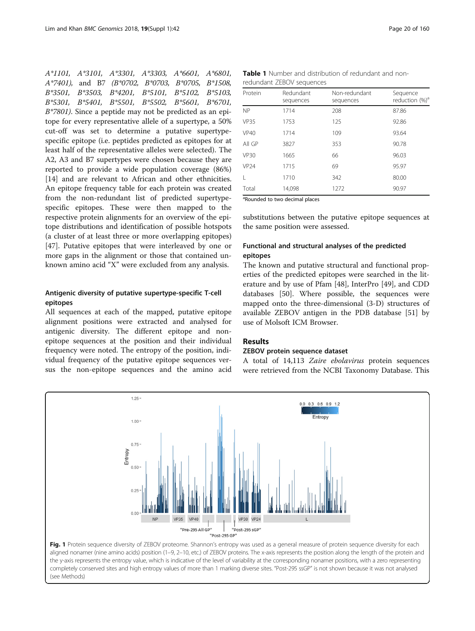<span id="page-3-0"></span>A\*1101, A\*3101, A\*3301, A\*3303, A\*6601, A\*6801, A\*7401), and B7 (B\*0702, B\*0703, B\*0705, B\*1508, B\*3501, B\*3503, B\*4201, B\*5101, B\*5102, B\*5103, B\*5301, B\*5401, B\*5501, B\*5502, B\*5601, B\*6701,  $B*7801$ ). Since a peptide may not be predicted as an epitope for every representative allele of a supertype, a 50% cut-off was set to determine a putative supertypespecific epitope (i.e. peptides predicted as epitopes for at least half of the representative alleles were selected). The A2, A3 and B7 supertypes were chosen because they are reported to provide a wide population coverage (86%) [[14\]](#page-11-0) and are relevant to African and other ethnicities. An epitope frequency table for each protein was created from the non-redundant list of predicted supertypespecific epitopes. These were then mapped to the respective protein alignments for an overview of the epitope distributions and identification of possible hotspots (a cluster of at least three or more overlapping epitopes) [[47\]](#page-12-0). Putative epitopes that were interleaved by one or more gaps in the alignment or those that contained unknown amino acid "X" were excluded from any analysis.

## Antigenic diversity of putative supertype-specific T-cell epitopes

All sequences at each of the mapped, putative epitope alignment positions were extracted and analysed for antigenic diversity. The different epitope and nonepitope sequences at the position and their individual frequency were noted. The entropy of the position, individual frequency of the putative epitope sequences versus the non-epitope sequences and the amino acid

| <b>Table 1</b> Number and distribution of redundant and non- |  |
|--------------------------------------------------------------|--|
| redundant ZEBOV sequences                                    |  |

| Protein          | Redundant<br>sequences | Non-redundant<br>sequences | Sequence<br>reduction (%) <sup>a</sup> |
|------------------|------------------------|----------------------------|----------------------------------------|
| <b>NP</b>        | 1714                   | 208                        | 87.86                                  |
| <b>VP35</b>      | 1753                   | 125                        | 92.86                                  |
| <b>VP40</b>      | 1714                   | 109                        | 93.64                                  |
| All GP           | 3827                   | 353                        | 90.78                                  |
| <b>VP30</b>      | 1665                   | 66                         | 96.03                                  |
| VP <sub>24</sub> | 1715                   | 69                         | 95.97                                  |
| L                | 1710                   | 342                        | 80.00                                  |
| Total            | 14,098                 | 1272                       | 90.97                                  |

<sup>a</sup>Rounded to two decimal places

substitutions between the putative epitope sequences at the same position were assessed.

## Functional and structural analyses of the predicted epitopes

The known and putative structural and functional properties of the predicted epitopes were searched in the literature and by use of Pfam [\[48](#page-12-0)], InterPro [\[49](#page-12-0)], and CDD databases [\[50](#page-12-0)]. Where possible, the sequences were mapped onto the three-dimensional (3-D) structures of available ZEBOV antigen in the PDB database [\[51](#page-12-0)] by use of Molsoft ICM Browser.

## Results

#### ZEBOV protein sequence dataset

A total of 14,113 Zaire ebolavirus protein sequences were retrieved from the NCBI Taxonomy Database. This



aligned nonamer (nine amino acids) position (1–9, 2–10, etc.) of ZEBOV proteins. The x-axis represents the position along the length of the protein and the y-axis represents the entropy value, which is indicative of the level of variability at the corresponding nonamer positions, with a zero representing completely conserved sites and high entropy values of more than 1 marking diverse sites. "Post-295 ssGP" is not shown because it was not analysed (see Methods)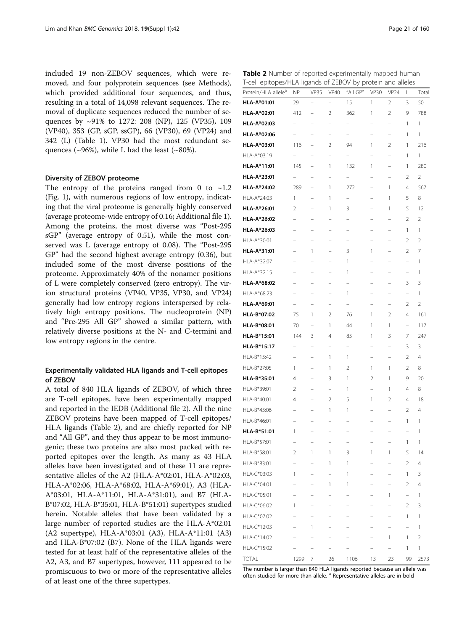included 19 non-ZEBOV sequences, which were removed, and four polyprotein sequences (see Methods), which provided additional four sequences, and thus, resulting in a total of 14,098 relevant sequences. The removal of duplicate sequences reduced the number of sequences by ~91% to 1272: 208 (NP), 125 (VP35), 109 (VP40), 353 (GP, sGP, ssGP), 66 (VP30), 69 (VP24) and 342 (L) (Table [1](#page-3-0)). VP30 had the most redundant sequences ( $\sim$ 96%), while L had the least ( $\sim$ 80%).

### Diversity of ZEBOV proteome

The entropy of the proteins ranged from 0 to  $\sim$ 1.2 (Fig. [1](#page-3-0)), with numerous regions of low entropy, indicating that the viral proteome is generally highly conserved (average proteome-wide entropy of 0.16; Additional file [1](#page-10-0)). Among the proteins, the most diverse was "Post-295 sGP" (average entropy of 0.51), while the most conserved was L (average entropy of 0.08). The "Post-295 GP" had the second highest average entropy (0.36), but included some of the most diverse positions of the proteome. Approximately 40% of the nonamer positions of L were completely conserved (zero entropy). The virion structural proteins (VP40, VP35, VP30, and VP24) generally had low entropy regions interspersed by relatively high entropy positions. The nucleoprotein (NP) and "Pre-295 All GP" showed a similar pattern, with relatively diverse positions at the N- and C-termini and low entropy regions in the centre.

## Experimentally validated HLA ligands and T-cell epitopes of ZEBOV

A total of 840 HLA ligands of ZEBOV, of which three are T-cell epitopes, have been experimentally mapped and reported in the IEDB (Additional file [2\)](#page-10-0). All the nine ZEBOV proteins have been mapped of T-cell epitopes/ HLA ligands (Table 2), and are chiefly reported for NP and "All GP", and they thus appear to be most immunogenic; these two proteins are also most packed with reported epitopes over the length. As many as 43 HLA alleles have been investigated and of these 11 are representative alleles of the A2 (HLA-A\*02:01, HLA-A\*02:03, HLA-A\*02:06, HLA-A\*68:02, HLA-A\*69:01), A3 (HLA-A\*03:01, HLA-A\*11:01, HLA-A\*31:01), and B7 (HLA-B\*07:02, HLA-B\*35:01, HLA-B\*51:01) supertypes studied herein. Notable alleles that have been validated by a large number of reported studies are the HLA-A\*02:01 (A2 supertype), HLA-A\*03:01 (A3), HLA-A\*11:01 (A3) and HLA-B\*07:02 (B7). None of the HLA ligands were tested for at least half of the representative alleles of the A2, A3, and B7 supertypes, however, 111 appeared to be promiscuous to two or more of the representative alleles of at least one of the three supertypes.

| Table 2 Number of reported experimentally mapped human      |  |  |  |
|-------------------------------------------------------------|--|--|--|
| T-cell epitopes/HLA ligands of ZEBOV by protein and alleles |  |  |  |

| Protein/HLA allele <sup>a</sup> | <b>NP</b>                | <b>VP35</b>              | <b>VP40</b>              | "All GP"                 | <b>VP30</b>              | <b>VP24</b>                   | L                        | Total          |
|---------------------------------|--------------------------|--------------------------|--------------------------|--------------------------|--------------------------|-------------------------------|--------------------------|----------------|
| HLA-A*01:01                     | 29                       | $\overline{a}$           | L.                       | 15                       | 1                        | 2                             | 3                        | 50             |
| HLA-A*02:01                     | 412                      | ۳                        | 2                        | 362                      | 1                        | 2                             | 9                        | 788            |
| HLA-A*02:03                     | $\overline{\phantom{0}}$ | $\overline{\phantom{0}}$ |                          | $\overline{\phantom{0}}$ |                          | $\overline{\phantom{0}}$      | 1                        | 1              |
| HLA-A*02:06                     | L.                       | ÷                        | L.                       |                          | $\overline{\phantom{0}}$ | i,                            | 1                        | 1              |
| HLA-A*03:01                     | 116                      | $\overline{\phantom{0}}$ | $\overline{2}$           | 94                       | 1                        | $\overline{2}$                | 1                        | 216            |
| HLA-A*03:19                     | $\overline{\phantom{0}}$ | $\overline{a}$           | $\overline{\phantom{0}}$ | $\overline{\phantom{0}}$ | $\overline{\phantom{0}}$ | $\overline{\phantom{0}}$      | 1                        | 1              |
| HLA-A*11:01                     | 145                      | $\overline{\phantom{0}}$ | 1                        | 132                      | 1                        | $\overline{\phantom{0}}$      | 1                        | 280            |
| HLA-A*23:01                     | $\qquad \qquad -$        | $\overline{\phantom{0}}$ | $\overline{a}$           | $\overline{\phantom{0}}$ | $\overline{\phantom{0}}$ | $\overline{a}$                | 2                        | $\overline{2}$ |
| HLA-A*24:02                     | 289                      | ۳                        | 1                        | 272                      | L.                       | 1                             | 4                        | 567            |
| HLA-A*24:03                     | 1                        | ۳                        | 1                        | $\overline{\phantom{0}}$ | $\overline{\phantom{0}}$ | 1                             | 5                        | 8              |
| <b>HLA-A*26:01</b>              | 2                        | ÷                        | 1                        | 3                        | L.                       | 1                             | 5                        | 12             |
| HLA-A*26:02                     |                          |                          |                          |                          |                          |                               | $\overline{2}$           | $\overline{2}$ |
| HLA-A*26:03                     | $\overline{\phantom{0}}$ | $\overline{\phantom{0}}$ | $\overline{a}$           | $\overline{\phantom{0}}$ | $\overline{\phantom{0}}$ | $\overline{\phantom{0}}$      | 1                        | 1              |
| HLA-A*30:01                     |                          | $\overline{\phantom{0}}$ | $\overline{\phantom{0}}$ | $\overline{\phantom{0}}$ | $\overline{\phantom{0}}$ | $\overline{a}$                | 2                        | 2              |
| HLA-A*31:01                     | $\overline{\phantom{0}}$ | 1                        | $\qquad \qquad -$        | 3                        | 1                        | $\qquad \qquad -$             | 2                        | 7              |
| HLA-A*32:07                     | $\overline{\phantom{a}}$ | $\overline{\phantom{0}}$ | $\overline{a}$           | 1                        | $\overline{\phantom{0}}$ | ÷                             | L.                       | 1              |
| HLA-A*32:15                     | $\overline{\phantom{0}}$ | $\overline{\phantom{0}}$ | $\overline{\phantom{0}}$ | 1                        | $\overline{\phantom{0}}$ | ۳                             | ۳                        | 1              |
| HLA-A*68:02                     | ۳                        | $\overline{\phantom{0}}$ | ۳                        | $\overline{\phantom{0}}$ | $\overline{\phantom{0}}$ | $\overline{\phantom{0}}$      | 3                        | 3              |
| HLA-A*68:23                     | -                        | $\overline{a}$           | $\overline{\phantom{0}}$ | 1                        | $\overline{\phantom{0}}$ | $\overline{a}$                | $\overline{\phantom{0}}$ | 1              |
| HLA-A*69:01                     | $\overline{\phantom{0}}$ | $\overline{a}$           | $\overline{a}$           | $\overline{\phantom{0}}$ | $\overline{\phantom{0}}$ | $\overline{\phantom{0}}$      | 2                        | $\overline{2}$ |
| HLA-B*07:02                     | 75                       | 1                        | $\overline{2}$           | 76                       | 1                        | $\overline{2}$                | 4                        | 161            |
| HLA-B*08:01                     | 70                       | $\overline{\phantom{0}}$ | 1                        | 44                       | 1                        | 1                             | $\overline{a}$           | 117            |
| HLA-B*15:01                     | 144                      | 3                        | 4                        | 85                       | 1                        | 3                             | 7                        | 247            |
| HLA-B*15:17                     | $\overline{\phantom{0}}$ | $\overline{\phantom{0}}$ | $\overline{a}$           | $\overline{\phantom{0}}$ | $\overline{\phantom{0}}$ | $\overline{a}$                | 3                        | 3              |
| HLA-B*15:42                     | $\overline{\phantom{0}}$ | $\overline{\phantom{0}}$ | 1                        | 1                        | $\overline{\phantom{0}}$ | Ĭ.                            | 2                        | $\overline{4}$ |
| HLA-B*27:05                     | 1                        | ۳                        | 1                        | 2                        | 1                        | 1                             | 2                        | 8              |
| HLA-B*35:01                     | 4                        | $\overline{\phantom{0}}$ | 3                        | 1                        | 2                        | 1                             | 9                        | 20             |
| HLA-B*39:01                     | 2                        | $\overline{\phantom{0}}$ |                          | 1                        | $\overline{a}$           | 1                             | 4                        | 8              |
| HLA-B*40:01                     | 4                        | $\overline{\phantom{0}}$ | 2                        | 5                        | 1                        | 2                             | 4                        | 18             |
| HLA-B*45:06                     |                          | $\overline{\phantom{0}}$ | 1                        | 1                        |                          | ۰                             | 2                        | 4              |
| HLA-B*46:01                     | $\overline{\phantom{0}}$ | -                        |                          | $\overline{\phantom{0}}$ |                          | $\overline{\phantom{0}}$      | 1                        | 1              |
| HLA-B*51:01                     | 1                        | $\overline{\phantom{0}}$ |                          |                          |                          | $\overline{\phantom{0}}$      | L.                       | 1              |
| HLA-B*57:01                     | -                        | -                        | -                        | -                        | -                        | -                             | 1                        | 1              |
| HLA-B*58:01                     | 2                        | 1                        | 1                        | 3                        | 1                        | 1                             | 5                        | 14             |
| HLA-B*83:01                     |                          |                          | 1                        | 1                        |                          |                               | $\overline{2}$           | 4              |
| HLA-C*03:03                     | 1                        | $\overline{\phantom{0}}$ | $\overline{\phantom{0}}$ | 1                        | $\overline{\phantom{0}}$ | $\overline{\phantom{0}}$      | 1                        | 3              |
| HLA-C*04:01                     |                          | $\overline{\phantom{0}}$ | 1                        | 1                        |                          | $\overline{\phantom{0}}$      | $\overline{2}$           | $\overline{4}$ |
| HLA-C*05:01                     | $\overline{\phantom{0}}$ | $\overline{\phantom{0}}$ | $\overline{\phantom{0}}$ | $\overline{\phantom{0}}$ | $\overline{\phantom{0}}$ | 1                             | $\overline{\phantom{0}}$ | 1              |
| HLA-C*06:02                     | 1                        | $\overline{a}$           | L.                       | $\overline{\phantom{0}}$ |                          | $\overline{a}$                | $\overline{2}$           | 3              |
|                                 |                          |                          |                          |                          |                          |                               |                          |                |
| HLA-C*07:02                     |                          | ۳                        |                          | $\overline{\phantom{0}}$ | $\overline{\phantom{0}}$ | ۳<br>$\overline{\phantom{0}}$ | 1                        | 1              |
| HLA-C*12:03                     |                          | 1                        |                          | $\overline{\phantom{0}}$ | $\overline{\phantom{0}}$ |                               | $\overline{a}$           | 1              |
| HLA-C*14:02                     |                          | $\overline{\phantom{0}}$ | $\overline{\phantom{0}}$ |                          |                          | 1                             | 1                        | $\overline{2}$ |
| HLA-C*15:02                     |                          | $\overline{a}$           | $\overline{\phantom{0}}$ |                          | $\overline{\phantom{0}}$ | $\overline{\phantom{0}}$      | 1                        | 1              |
| <b>TOTAL</b>                    | 1299                     | 7                        | 26                       | 1106                     | 13                       | 23                            | 99                       | 2573           |

The number is larger than 840 HLA ligands reported because an allele was often studied for more than allele.<sup>a</sup> Representative alleles are in bold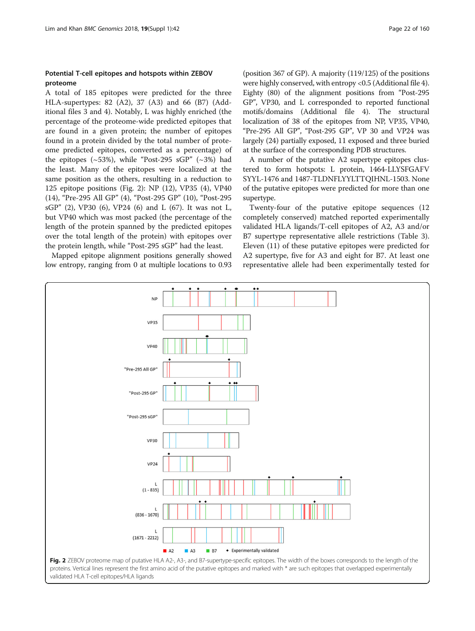## Potential T-cell epitopes and hotspots within ZEBOV proteome

A total of 185 epitopes were predicted for the three HLA-supertypes: 82 (A2), 37 (A3) and 66 (B7) (Additional files [3](#page-10-0) and [4\)](#page-10-0). Notably, L was highly enriched (the percentage of the proteome-wide predicted epitopes that are found in a given protein; the number of epitopes found in a protein divided by the total number of proteome predicted epitopes, converted as a percentage) of the epitopes  $(\sim 53\%)$ , while "Post-295 sGP"  $(\sim 3\%)$  had the least. Many of the epitopes were localized at the same position as the others, resulting in a reduction to 125 epitope positions (Fig. 2): NP (12), VP35 (4), VP40 (14), "Pre-295 All GP" (4), "Post-295 GP" (10), "Post-295 sGP" (2), VP30 (6), VP24 (6) and L (67). It was not L, but VP40 which was most packed (the percentage of the length of the protein spanned by the predicted epitopes over the total length of the protein) with epitopes over the protein length, while "Post-295 sGP" had the least.

Mapped epitope alignment positions generally showed low entropy, ranging from 0 at multiple locations to 0.93

(position 367 of GP). A majority (119/125) of the positions were highly conserved, with entropy <0.5 (Additional file [4](#page-10-0)). Eighty (80) of the alignment positions from "Post-295 GP", VP30, and L corresponded to reported functional motifs/domains (Additional file [4](#page-10-0)). The structural localization of 38 of the epitopes from NP, VP35, VP40, "Pre-295 All GP", "Post-295 GP", VP 30 and VP24 was largely (24) partially exposed, 11 exposed and three buried at the surface of the corresponding PDB structures.

A number of the putative A2 supertype epitopes clustered to form hotspots: L protein, 1464-LLYSFGAFV SYYL-1476 and 1487-TLDNFLYYLTTQIHNL-1503. None of the putative epitopes were predicted for more than one supertype.

Twenty-four of the putative epitope sequences (12 completely conserved) matched reported experimentally validated HLA ligands/T-cell epitopes of A2, A3 and/or B7 supertype representative allele restrictions (Table [3](#page-6-0)). Eleven (11) of these putative epitopes were predicted for A2 supertype, five for A3 and eight for B7. At least one representative allele had been experimentally tested for



validated HLA T-cell epitopes/HLA ligands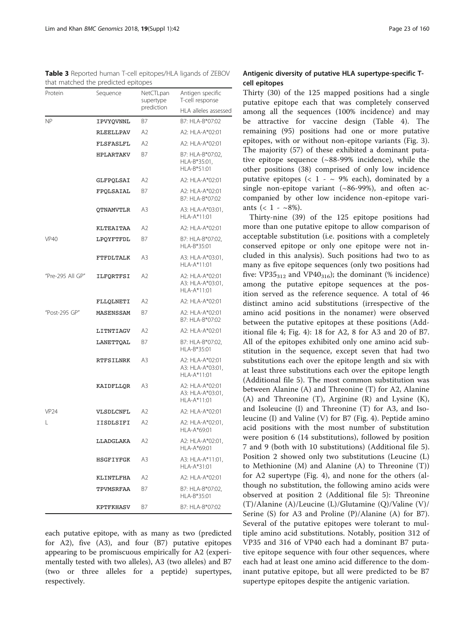<span id="page-6-0"></span>Table 3 Reported human T-cell epitopes/HLA ligands of ZEBOV that matched the predicted epitopes

| Protein          | Sequence         | NetCTLpan<br>supertype | Antigen specific<br>T-cell response                   |  |
|------------------|------------------|------------------------|-------------------------------------------------------|--|
|                  |                  | prediction             | HLA alleles assessed                                  |  |
| <b>NP</b>        | IPVYQVNNL        | B7                     | B7: HLA-B*07:02                                       |  |
|                  | RLEELLPAV        | A2                     | A2: HLA-A*02:01                                       |  |
|                  | <b>FLSFASLFL</b> | A2                     | A2: HLA-A*02:01                                       |  |
|                  | HPLARTAKV        | B7                     | B7: HLA-B*07:02,<br>HLA-B*35:01,<br>HLA-B*51:01       |  |
|                  | GLFPQLSAI        | A2                     | A2: HLA-A*02:01                                       |  |
|                  | FPOLSAIAL        | B7                     | A2: HLA-A*02:01<br>B7: HLA-B*07:02                    |  |
|                  | QTNAMVTLR        | A3                     | A3: HLA-A*03:01,<br>HLA-A*11:01                       |  |
|                  | KLTEAITAA        | A2                     | A2: HLA-A*02:01                                       |  |
| <b>VP40</b>      | LPQYFTFDL        | B7                     | B7: HLA-B*07:02,<br>HLA-B*35:01                       |  |
|                  | FTFDLTALK        | A3                     | A3: HLA-A*03:01,<br>HLA-A*11:01                       |  |
| "Pre-295 All GP" | ILFQRTFSI        | A2                     | A2: HLA-A*02:01<br>A3: HLA-A*03:01,<br>$HI A-A*11:01$ |  |
|                  | FLLOLNETI        | A2                     | A2: HLA-A*02:01                                       |  |
| "Post-295 GP"    | MASENSSAM        | В7                     | A2: HLA-A*02:01<br>B7: HLA-B*07:02                    |  |
|                  | LITNTIAGV        | A2                     | A2: HLA-A*02:01                                       |  |
|                  | LANETTQAL        | Β7                     | B7: HLA-B*07:02,<br>HLA-B*35:01                       |  |
|                  | RTFSILNRK        | A3                     | A2: HLA-A*02:01<br>A3: HLA-A*03:01,<br>HLA-A*11:01    |  |
|                  | KAIDFLLQR        | A3                     | A2: HLA-A*02:01<br>A3: HLA-A*03:01,<br>HLA-A*11:01    |  |
| <b>VP24</b>      | VLSDLCNFL        | A2                     | A2: HLA-A*02:01                                       |  |
| L                | IISDLSIFI        | A2                     | A2: HLA-A*02:01,<br>HLA-A*69:01                       |  |
|                  | LLADGLAKA        | A2                     | A2: HLA-A*02:01,<br>HLA-A*69:01                       |  |
|                  | HSGFIYFGK        | A3                     | A3: HLA-A*11:01,<br>HLA-A*31:01                       |  |
|                  | KLINTLFHA        | A2                     | A2: HLA-A*02:01                                       |  |
|                  | TPVMSRFAA        | В7                     | B7: HLA-B*07:02,<br>HLA-B*35:01                       |  |
|                  | KPTFKHASV        | B7                     | B7: HLA-B*07:02                                       |  |

each putative epitope, with as many as two (predicted for A2), five (A3), and four (B7) putative epitopes appearing to be promiscuous empirically for A2 (experimentally tested with two alleles), A3 (two alleles) and B7 (two or three alleles for a peptide) supertypes, respectively.

## Antigenic diversity of putative HLA supertype-specific Tcell epitopes

Thirty (30) of the 125 mapped positions had a single putative epitope each that was completely conserved among all the sequences (100% incidence) and may be attractive for vaccine design (Table [4\)](#page-7-0). The remaining (95) positions had one or more putative epitopes, with or without non-epitope variants (Fig. [3](#page-8-0)). The majority (57) of these exhibited a dominant putative epitope sequence (~88-99% incidence), while the other positions (38) comprised of only low incidence putative epitopes (<  $1 - \sim 9\%$  each), dominated by a single non-epitope variant  $({\sim}86-99%)$ , and often accompanied by other low incidence non-epitope variants ( $< 1 - 8\%$ ).

Thirty-nine (39) of the 125 epitope positions had more than one putative epitope to allow comparison of acceptable substitution (i.e. positions with a completely conserved epitope or only one epitope were not included in this analysis). Such positions had two to as many as five epitope sequences (only two positions had five:  $VP35_{312}$  and  $VP40_{316}$ ); the dominant (% incidence) among the putative epitope sequences at the position served as the reference sequence. A total of 46 distinct amino acid substitutions (irrespective of the amino acid positions in the nonamer) were observed between the putative epitopes at these positions (Additional file [4](#page-10-0); Fig. [4](#page-9-0)): 18 for A2, 8 for A3 and 20 of B7. All of the epitopes exhibited only one amino acid substitution in the sequence, except seven that had two substitutions each over the epitope length and six with at least three substitutions each over the epitope length (Additional file [5\)](#page-10-0). The most common substitution was between Alanine (A) and Threonine (T) for A2, Alanine (A) and Threonine (T), Arginine (R) and Lysine (K), and Isoleucine (I) and Threonine (T) for A3, and Isoleucine (I) and Valine (V) for B7 (Fig. [4\)](#page-9-0). Peptide amino acid positions with the most number of substitution were position 6 (14 substitutions), followed by position 7 and 9 (both with 10 substitutions) (Additional file [5](#page-10-0)). Position 2 showed only two substitutions (Leucine (L) to Methionine (M) and Alanine (A) to Threonine (T)) for A2 supertype (Fig. 4), and none for the others (although no substitution, the following amino acids were observed at position 2 (Additional file [5](#page-10-0)): Threonine (T)/Alanine (A)/Leucine (L)/Glutamine (Q)/Valine (V)/ Serine (S) for A3 and Proline (P)/Alanine (A) for B7). Several of the putative epitopes were tolerant to multiple amino acid substitutions. Notably, position 312 of VP35 and 316 of VP40 each had a dominant B7 putative epitope sequence with four other sequences, where each had at least one amino acid difference to the dominant putative epitope, but all were predicted to be B7 supertype epitopes despite the antigenic variation.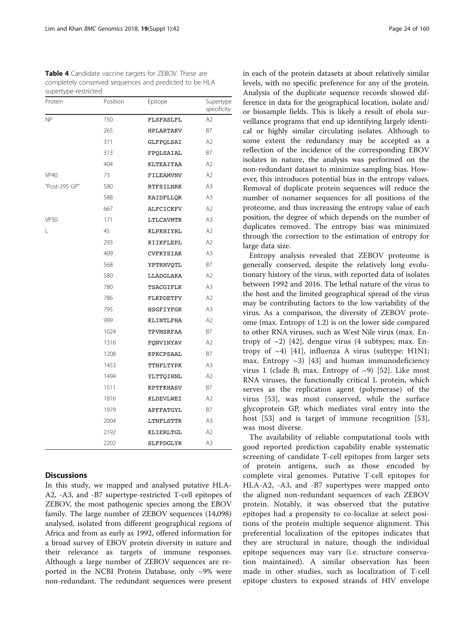<span id="page-7-0"></span>

| Table 4 Candidate vaccine targets for ZEBOV. These are |
|--------------------------------------------------------|
| completely conserved sequences and predicted to be HLA |
| supertype-restricted                                   |

| Protein       | Position | Epitope   | Supertype<br>specificity |
|---------------|----------|-----------|--------------------------|
| NP            | 150      | FLSFASLFL | A2                       |
|               | 265      | HPLARTAKV | <b>B7</b>                |
|               | 311      | GLFPQLSAI | A <sub>2</sub>           |
|               | 313      | FPQLSAIAL | B7                       |
|               | 404      | KLTEAITAA | A <sub>2</sub>           |
| <b>VP40</b>   | 73       | FILEAMVNV | A2                       |
| "Post-295 GP" | 580      | RTFSILNRK | A3                       |
|               | 588      | KAIDFLLQR | A3                       |
|               | 667      | ALFCICKFV | A <sub>2</sub>           |
| <b>VP30</b>   | 171      | LTLCAVMTR | A3                       |
| L             | 45       | KLPKHIYRL | A2                       |
|               | 293      | KIIKFLEPL | A <sub>2</sub>           |
|               | 409      | CVFKYSIAK | A3                       |
|               | 568      | YPTRNVQTL | B7                       |
|               | 580      | LLADGLAKA | A <sub>2</sub>           |
|               | 780      | TSACGIFLK | A <sub>3</sub>           |
|               | 786      | FLKPDETFV | A <sub>2</sub>           |
|               | 795      | HSGFIYFGK | A3                       |
|               | 999      | KLINTLFHA | A <sub>2</sub>           |
|               | 1024     | TPVMSRFAA | B7                       |
|               | 1316     | FQNVINYAV | A <sub>2</sub>           |
|               | 1208     | KPKCPSAAL | B7                       |
|               | 1453     | TTHFLTYPK | A3                       |
|               | 1494     | YLTTQIHNL | A <sub>2</sub>           |
|               | 1511     | KPTFKHASV | B7                       |
|               | 1816     | KLDEVLWEI | A2                       |
|               | 1979     | APFFATGYL | B7                       |
|               | 2004     | LTNFLSTTR | A <sub>3</sub>           |
|               | 2192     | KLIERLTGL | A <sub>2</sub>           |
|               | 2202     | SLFPDGLYR | A3                       |

## **Discussions**

In this study, we mapped and analysed putative HLA-A2, -A3, and -B7 supertype-restricted T-cell epitopes of ZEBOV, the most pathogenic species among the EBOV family. The large number of ZEBOV sequences (14,098) analysed, isolated from different geographical regions of Africa and from as early as 1992, offered information for a broad survey of EBOV protein diversity in nature and their relevance as targets of immune responses. Although a large number of ZEBOV sequences are reported in the NCBI Protein Database, only  $\sim$ 9% were non-redundant. The redundant sequences were present in each of the protein datasets at about relatively similar levels, with no specific preference for any of the protein. Analysis of the duplicate sequence records showed difference in data for the geographical location, isolate and/ or biosample fields. This is likely a result of ebola surveillance programs that end up identifying largely identical or highly similar circulating isolates. Although to some extent the redundancy may be accepted as a reflection of the incidence of the corresponding EBOV isolates in nature, the analysis was performed on the non-redundant dataset to minimize sampling bias. However, this introduces potential bias in the entropy values. Removal of duplicate protein sequences will reduce the number of nonamer sequences for all positions of the proteome, and thus increasing the entropy value of each position, the degree of which depends on the number of duplicates removed. The entropy bias was minimized through the correction to the estimation of entropy for large data size.

Entropy analysis revealed that ZEBOV proteome is generally conserved, despite the relatively long evolutionary history of the virus, with reported data of isolates between 1992 and 2016. The lethal nature of the virus to the host and the limited geographical spread of the virus may be contributing factors to the low variability of the virus. As a comparison, the diversity of ZEBOV proteome (max. Entropy of 1.2) is on the lower side compared to other RNA viruses, such as West Nile virus (max. Entropy of  $\sim$ 2) [[42\]](#page-12-0), dengue virus (4 subtypes; max. Entropy of  $\sim$ 4) [[41\]](#page-12-0), influenza A virus (subtype: H1N1; max. Entropy  $\sim$ 3) [[43\]](#page-12-0) and human immunodeficiency virus 1 (clade B; max. Entropy of  $\sim$ 9) [\[52](#page-12-0)]. Like most RNA viruses, the functionally critical L protein, which serves as the replication agent (polymerase) of the virus [\[53](#page-12-0)], was most conserved, while the surface glycoprotein GP, which mediates viral entry into the host [\[53](#page-12-0)] and is target of immune recognition [53], was most diverse.

The availability of reliable computational tools with good reported prediction capability enable systematic screening of candidate T-cell epitopes from larger sets of protein antigens, such as those encoded by complete viral genomes. Putative T-cell epitopes for HLA-A2, -A3, and -B7 supertypes were mapped onto the aligned non-redundant sequences of each ZEBOV protein. Notably, it was observed that the putative epitopes had a propensity to co-localize at select positions of the protein multiple sequence alignment. This preferential localization of the epitopes indicates that they are structural in nature, though the individual epitope sequences may vary (i.e. structure conservation maintained). A similar observation has been made in other studies, such as localization of T-cell epitope clusters to exposed strands of HIV envelope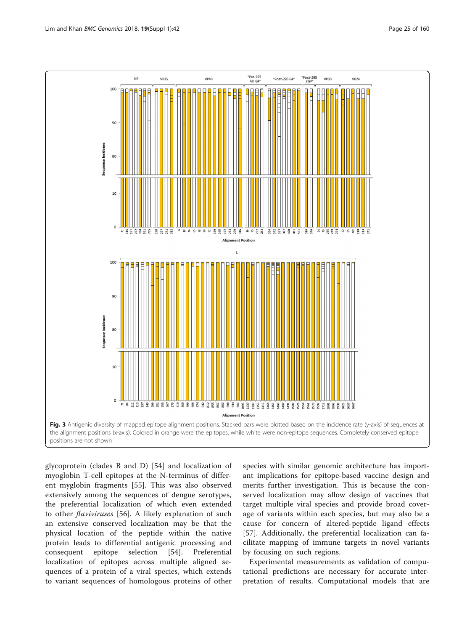<span id="page-8-0"></span>

glycoprotein (clades B and D) [\[54](#page-12-0)] and localization of myoglobin T-cell epitopes at the N-terminus of different myglobin fragments [\[55](#page-12-0)]. This was also observed extensively among the sequences of dengue serotypes, the preferential localization of which even extended to other flaviviruses [[56\]](#page-12-0). A likely explanation of such an extensive conserved localization may be that the physical location of the peptide within the native protein leads to differential antigenic processing and consequent epitope selection [[54\]](#page-12-0). Preferential localization of epitopes across multiple aligned sequences of a protein of a viral species, which extends to variant sequences of homologous proteins of other

species with similar genomic architecture has important implications for epitope-based vaccine design and merits further investigation. This is because the conserved localization may allow design of vaccines that target multiple viral species and provide broad coverage of variants within each species, but may also be a cause for concern of altered-peptide ligand effects [[57\]](#page-12-0). Additionally, the preferential localization can facilitate mapping of immune targets in novel variants by focusing on such regions.

Experimental measurements as validation of computational predictions are necessary for accurate interpretation of results. Computational models that are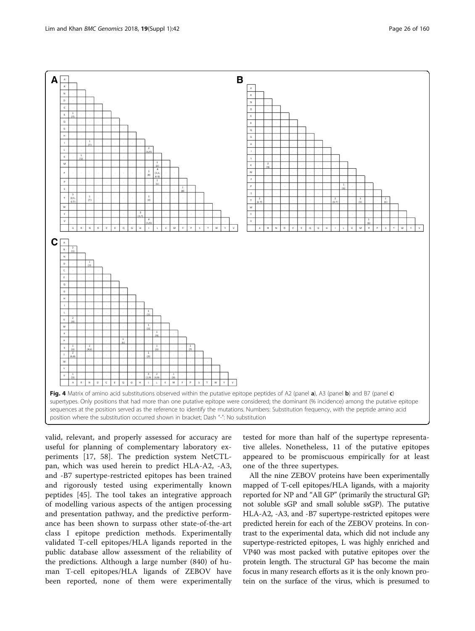<span id="page-9-0"></span>

valid, relevant, and properly assessed for accuracy are useful for planning of complementary laboratory experiments [[17,](#page-11-0) [58\]](#page-12-0). The prediction system NetCTLpan, which was used herein to predict HLA-A2, -A3, and -B7 supertype-restricted epitopes has been trained and rigorously tested using experimentally known peptides [\[45\]](#page-12-0). The tool takes an integrative approach of modelling various aspects of the antigen processing and presentation pathway, and the predictive performance has been shown to surpass other state-of-the-art class I epitope prediction methods. Experimentally validated T-cell epitopes/HLA ligands reported in the public database allow assessment of the reliability of the predictions. Although a large number (840) of human T-cell epitopes/HLA ligands of ZEBOV have been reported, none of them were experimentally

tested for more than half of the supertype representative alleles. Nonetheless, 11 of the putative epitopes appeared to be promiscuous empirically for at least one of the three supertypes.

All the nine ZEBOV proteins have been experimentally mapped of T-cell epitopes/HLA ligands, with a majority reported for NP and "All GP" (primarily the structural GP; not soluble sGP and small soluble ssGP). The putative HLA-A2, -A3, and -B7 supertype-restricted epitopes were predicted herein for each of the ZEBOV proteins. In contrast to the experimental data, which did not include any supertype-restricted epitopes, L was highly enriched and VP40 was most packed with putative epitopes over the protein length. The structural GP has become the main focus in many research efforts as it is the only known protein on the surface of the virus, which is presumed to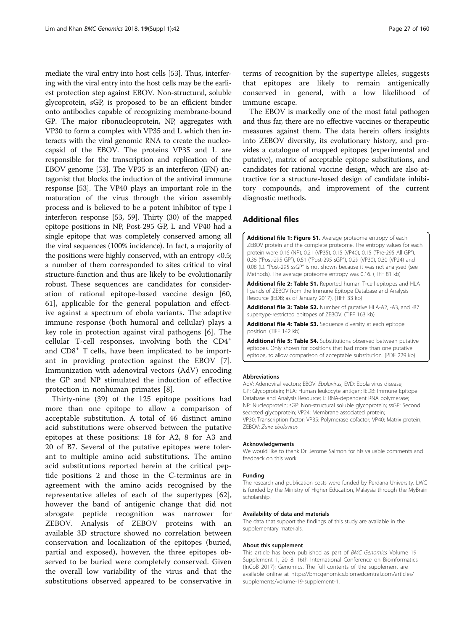<span id="page-10-0"></span>mediate the viral entry into host cells [\[53\]](#page-12-0). Thus, interfering with the viral entry into the host cells may be the earliest protection step against EBOV. Non-structural, soluble glycoprotein, sGP, is proposed to be an efficient binder onto antibodies capable of recognizing membrane-bound GP. The major ribonucleoprotein, NP, aggregates with VP30 to form a complex with VP35 and L which then interacts with the viral genomic RNA to create the nucleocapsid of the EBOV. The proteins VP35 and L are responsible for the transcription and replication of the EBOV genome [\[53\]](#page-12-0). The VP35 is an interferon (IFN) antagonist that blocks the induction of the antiviral immune response [\[53\]](#page-12-0). The VP40 plays an important role in the maturation of the virus through the virion assembly process and is believed to be a potent inhibitor of type I interferon response [[53](#page-12-0), [59](#page-12-0)]. Thirty (30) of the mapped epitope positions in NP, Post-295 GP, L and VP40 had a single epitope that was completely conserved among all the viral sequences (100% incidence). In fact, a majority of the positions were highly conserved, with an entropy <0.5; a number of them corresponded to sites critical to viral structure-function and thus are likely to be evolutionarily robust. These sequences are candidates for consideration of rational epitope-based vaccine design [\[60](#page-12-0), [61\]](#page-12-0), applicable for the general population and effective against a spectrum of ebola variants. The adaptive immune response (both humoral and cellular) plays a key role in protection against viral pathogens [[6\]](#page-11-0). The cellular T-cell responses, involving both the CD4<sup>+</sup> and CD8<sup>+</sup> T cells, have been implicated to be important in providing protection against the EBOV [\[7](#page-11-0)]. Immunization with adenoviral vectors (AdV) encoding the GP and NP stimulated the induction of effective protection in nonhuman primates [\[8](#page-11-0)].

Thirty-nine (39) of the 125 epitope positions had more than one epitope to allow a comparison of acceptable substitution. A total of 46 distinct amino acid substitutions were observed between the putative epitopes at these positions: 18 for A2, 8 for A3 and 20 of B7. Several of the putative epitopes were tolerant to multiple amino acid substitutions. The amino acid substitutions reported herein at the critical peptide positions 2 and those in the C-terminus are in agreement with the amino acids recognised by the representative alleles of each of the supertypes [\[62](#page-12-0)], however the band of antigenic change that did not abrogate peptide recognition was narrower for ZEBOV. Analysis of ZEBOV proteins with an available 3D structure showed no correlation between conservation and localization of the epitopes (buried, partial and exposed), however, the three epitopes observed to be buried were completely conserved. Given the overall low variability of the virus and that the substitutions observed appeared to be conservative in

terms of recognition by the supertype alleles, suggests that epitopes are likely to remain antigenically conserved in general, with a low likelihood of immune escape.

The EBOV is markedly one of the most fatal pathogen and thus far, there are no effective vaccines or therapeutic measures against them. The data herein offers insights into ZEBOV diversity, its evolutionary history, and provides a catalogue of mapped epitopes (experimental and putative), matrix of acceptable epitope substitutions, and candidates for rational vaccine design, which are also attractive for a structure-based design of candidate inhibitory compounds, and improvement of the current diagnostic methods.

## Additional files

[Additional file 1: Figure S1.](dx.doi.org/10.1186/s12864-017-4328-8) Average proteome entropy of each ZEBOV protein and the complete proteome. The entropy values for each protein were 0.16 (NP), 0.21 (VP35), 0.15 (VP40), 0.15 ("Pre-295 All GP"), 0.36 ("Post-295 GP"), 0.51 ("Post-295 sGP"), 0.29 (VP30), 0.30 (VP24) and 0.08 (L). "Post-295 ssGP" is not shown because it was not analysed (see Methods). The average proteome entropy was 0.16. (TIFF 81 kb)

[Additional file 2: Table S1.](dx.doi.org/10.1186/s12864-017-4328-8) Reported human T-cell epitopes and HLA ligands of ZEBOV from the Immune Epitope Database and Analysis Resource (IEDB; as of January 2017). (TIFF 33 kb)

[Additional file 3: Table S2.](dx.doi.org/10.1186/s12864-017-4328-8) Number of putative HLA-A2, -A3, and -B7 supertype-restricted epitopes of ZEBOV. (TIFF 163 kb)

[Additional file 4: Table S3.](dx.doi.org/10.1186/s12864-017-4328-8) Sequence diversity at each epitope position. (TIFF 142 kb)

[Additional file 5: Table S4.](dx.doi.org/10.1186/s12864-017-4328-8) Substitutions observed between putative epitopes. Only shown for positions that had more than one putative epitope, to allow comparison of acceptable substitution. (PDF 229 kb)

#### Abbreviations

AdV: Adenoviral vectors; EBOV: Ebolavirus; EVD: Ebola virus disease; GP: Glycoprotein; HLA: Human leukocyte antigen; IEDB: Immune Epitope Database and Analysis Resource; L: RNA-dependent RNA polymerase; NP: Nucleoprotein; sGP: Non-structural soluble glycoprotein; ssGP: Second secreted glycoprotein; VP24: Membrane associated protein; VP30: Transcription factor; VP35: Polymerase cofactor; VP40: Matrix protein; ZEBOV: Zaire ebolavirus

#### Acknowledgements

We would like to thank Dr. Jerome Salmon for his valuable comments and feedback on this work.

#### Funding

The research and publication costs were funded by Perdana University. LWC is funded by the Ministry of Higher Education, Malaysia through the MyBrain scholarship.

#### Availability of data and materials

The data that support the findings of this study are available in the supplementary materials.

#### About this supplement

This article has been published as part of BMC Genomics Volume 19 Supplement 1, 2018: 16th International Conference on Bioinformatics (InCoB 2017): Genomics. The full contents of the supplement are available online at [https://bmcgenomics.biomedcentral.com/articles/](https://bmcgenomics.biomedcentral.com/articles/supplements/volume-19-supplement-1) [supplements/volume-19-supplement-1.](https://bmcgenomics.biomedcentral.com/articles/supplements/volume-19-supplement-1)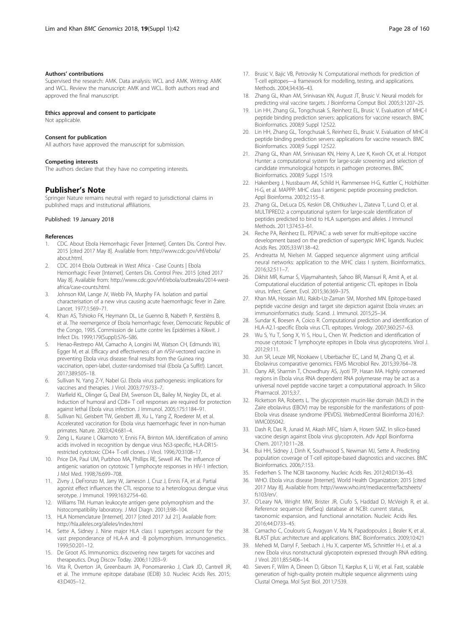#### <span id="page-11-0"></span>Authors' contributions

Supervised the research: AMK. Data analysis: WCL and AMK. Writing: AMK and WCL. Review the manuscript: AMK and WCL. Both authors read and approved the final manuscript.

#### Ethics approval and consent to participate

Not applicable.

#### Consent for publication

All authors have approved the manuscript for submission.

#### Competing interests

The authors declare that they have no competing interests.

#### Publisher's Note

Springer Nature remains neutral with regard to jurisdictional claims in published maps and institutional affiliations.

#### Published: 19 January 2018

#### References

- 1. CDC. About Ebola Hemorrhagic Fever [Internet]. Centers Dis. Control Prev. 2015 [cited 2017 May 8]. Available from: [http://www.cdc.gov/vhf/ebola/](http://www.cdc.gov/vhf/ebola/about.html) [about.html.](http://www.cdc.gov/vhf/ebola/about.html)
- 2. CDC. 2014 Ebola Outbreak in West Africa Case Counts | Ebola Hemorrhagic Fever [Internet]. Centers Dis. Control Prev. 2015 [cited 2017 May 8]. Available from: [http://www.cdc.gov/vhf/ebola/outbreaks/2014-west](http://www.cdc.gov/vhf/ebola/outbreaks/2014-west-africa/case-counts.html)[africa/case-counts.html.](http://www.cdc.gov/vhf/ebola/outbreaks/2014-west-africa/case-counts.html)
- 3. Johnson KM, Lange JV, Webb PA, Murphy FA. Isolation and partial characterisation of a new virus causing acute haemorrhagic fever in Zaire. Lancet. 1977;1:569–71.
- 4. Khan AS, Tshioko FK, Heymann DL, Le Guenno B, Nabeth P, Kerstiëns B, et al. The reemergence of Ebola hemorrhagic fever, Democratic Republic of the Congo, 1995. Commission de Lutte contre les Epidémies à Kikwit. J Infect Dis. 1999;179(Suppl):S76–S86.
- Henao-Restrepo AM, Camacho A, Longini IM, Watson CH, Edmunds WJ, Egger M, et al. Efficacy and effectiveness of an rVSV-vectored vaccine in preventing Ebola virus disease: final results from the Guinea ring vaccination, open-label, cluster-randomised trial (Ebola Ça Suffit!). Lancet. 2017;389:505–18.
- 6. Sullivan N, Yang Z-Y, Nabel GJ. Ebola virus pathogenesis: implications for vaccines and therapies. J Virol. 2003;77:9733–7.
- 7. Warfield KL, Olinger G, Deal EM, Swenson DL, Bailey M, Negley DL, et al. Induction of humoral and CD8+ T cell responses are required for protection against lethal Ebola virus infection. J Immunol. 2005;175:1184–91.
- Sullivan NJ, Geisbert TW, Geisbert JB, Xu L, Yang Z, Roederer M, et al. Accelerated vaccination for Ebola virus haemorrhagic fever in non-human primates. Nature. 2003;424:681–4.
- 9. Zeng L, Kurane I, Okamoto Y, Ennis FA, Brinton MA. Identification of amino acids involved in recognition by dengue virus NS3-specific, HLA-DR15 restricted cytotoxic CD4+ T-cell clones. J Virol. 1996;70:3108–17.
- 10. Price DA, Paul UM, Purbhoo MA, Phillips RE, Sewell AK. The influence of antigenic variation on cytotoxic T lymphocyte responses in HIV-1 infection. J Mol Med. 1998;76:699–708.
- 11. Zivny J, DeFronzo M, Jarry W, Jameson J, Cruz J, Ennis FA, et al. Partial agonist effect influences the CTL response to a heterologous dengue virus serotype. J Immunol. 1999;163:2754–60.
- 12. Williams TM. Human leukocyte antigen gene polymorphism and the histocompatibility laboratory. J Mol Diagn. 2001;3:98–104.
- 13. HLA Nomenclature [Internet]. 2017 [cited 2017 Jul 21]. Available from: <http://hla.alleles.org/alleles/index.html>
- 14. Sette A, Sidney J. Nine major HLA class I supertypes account for the vast preponderance of HLA-A and -B polymorphism. Immunogenetics. 1999;50:201–12.
- 15. De Groot AS. Immunomics: discovering new targets for vaccines and therapeutics. Drug Discov Today. 2006;11:203–9.
- 16. Vita R, Overton JA, Greenbaum JA, Ponomarenko J, Clark JD, Cantrell JR, et al. The immune epitope database (IEDB) 3.0. Nucleic Acids Res. 2015; 43:D405–12.
- 17. Brusic V, Bajic VB, Petrovsky N. Computational methods for prediction of T-cell epitopes—a framework for modelling, testing, and applications. Methods. 2004;34:436–43.
- 18. Zhang GL, Khan AM, Srinivasan KN, August JT, Brusic V. Neural models for predicting viral vaccine targets. J Bioinforma Comput Biol. 2005;3:1207–25.
- 19. Lin HH, Zhang GL, Tongchusak S, Reinherz EL, Brusic V. Evaluation of MHC-I peptide binding prediction servers: applications for vaccine research. BMC Bioinformatics. 2008;9 Suppl 12:S22.
- 20. Lin HH, Zhang GL, Tongchusak S, Reinherz EL, Brusic V. Evaluation of MHC-II peptide binding prediction servers: applications for vaccine research. BMC Bioinformatics. 2008;9 Suppl 12:S22.
- 21. Zhang GL, Khan AM, Srinivasan KN, Heiny A, Lee K, Kwoh CK, et al. Hotspot Hunter: a computational system for large-scale screening and selection of candidate immunological hotspots in pathogen proteomes. BMC Bioinformatics. 2008;9 Suppl 1:S19.
- 22. Hakenberg J, Nussbaum AK, Schild H, Rammensee H-G, Kuttler C, Holzhütter H-G, et al. MAPPP: MHC class I antigenic peptide processing prediction. Appl Bioinforma. 2003;2:155–8.
- 23. Zhang GL, DeLuca DS, Keskin DB, Chitkushev L, Zlateva T, Lund O, et al. MULTIPRED2: a computational system for large-scale identification of peptides predicted to bind to HLA supertypes and alleles. J Immunol Methods. 2011;374:53–61.
- 24. Reche PA, Reinherz EL. PEPVAC: a web server for multi-epitope vaccine development based on the prediction of supertypic MHC ligands. Nucleic Acids Res. 2005;33:W138–42.
- 25. Andreatta M, Nielsen M. Gapped sequence alignment using artificial neural networks: application to the MHC class I system. Bioinformatics. 2016;32:511–7.
- 26. Dikhit MR, Kumar S, Vijaymahantesh, Sahoo BR, Mansuri R, Amit A, et al. Computational elucidation of potential antigenic CTL epitopes in Ebola virus. Infect. Genet. Evol. 2015;36:369–375.
- 27. Khan MA, Hossain MU, Rakib-Uz-Zaman SM, Morshed MN. Epitope-based peptide vaccine design and target site depiction against Ebola viruses: an immunoinformatics study. Scand. J. Immunol. 2015;25–34.
- 28. Sundar K, Boesen A, Coico R. Computational prediction and identification of HLA-A2.1-specific Ebola virus CTL epitopes. Virology. 2007;360:257–63.
- 29. Wu S, Yu T, Song X, Yi S, Hou L, Chen W. Prediction and identification of mouse cytotoxic T lymphocyte epitopes in Ebola virus glycoproteins. Virol J. 2012;9:111.
- 30. Jun SR, Leuze MR, Nookaew I, Uberbacher EC, Land M, Zhang Q, et al. Ebolavirus comparative genomics. FEMS Microbiol Rev. 2015;39:764–78.
- 31. Oany AR, Sharmin T, Chowdhury AS, Jyoti TP, Hasan MA. Highly conserved regions in Ebola virus RNA dependent RNA polymerase may be act as a universal novel peptide vaccine target: a computational approach. In Silico Pharmacol. 2015;3:7.
- 32. Ricketson RA, Roberts L. The glycoprotein mucin-like domain (MLD) in the Zaire ebolavirus (EBOV) may be responsible for the manifestations of post-Ebola virus disease syndrome (PEVDS). WebmedCentral Bioinforma 2016;7: WMC005042.
- 33. Dash R, Das R, Junaid M, Akash MFC, Islam A, Hosen SMZ. In silico-based vaccine design against Ebola virus glycoprotein. Adv Appl Bioinforma Chem. 2017;10:11–28.
- 34. Bui HH, Sidney J, Dinh K, Southwood S, Newman MJ, Sette A. Predicting population coverage of T-cell epitope-based diagnostics and vaccines. BMC Bioinformatics. 2006;7:153.
- 35. Federhen S. The NCBI taxonomy. Nucleic Acids Res. 2012;40:D136–43.
- 36. WHO. Ebola virus disease [Internet]. World Health Organization; 2015 [cited 2017 May 8]. Available from: [http://www.who.int/mediacentre/factsheets/](http://www.who.int/mediacentre/factsheets/fs103/en/) [fs103/en/.](http://www.who.int/mediacentre/factsheets/fs103/en/)
- 37. O'Leary NA, Wright MW, Brister JR, Ciufo S, Haddad D, McVeigh R, et al. Reference sequence (RefSeq) database at NCBI: current status, taxonomic expansion, and functional annotation. Nucleic Acids Res. 2016;44:D733–45.
- 38. Camacho C, Coulouris G, Avagyan V, Ma N, Papadopoulos J, Bealer K, et al. BLAST plus: architecture and applications. BMC Bioinformatics. 2009;10:421
- 39. Mehedi M, Darryl F, Seebach J, Hu X, carpenter MS, Schnittler H-J, et al. a new Ebola virus nonstructural glycoprotein expressed through RNA editing. J Virol. 2011;85:5406–14.
- 40. Sievers F, Wilm A, Dineen D, Gibson TJ, Karplus K, Li W, et al. Fast, scalable generation of high-quality protein multiple sequence alignments using Clustal Omega. Mol Syst Biol. 2011;7:539.